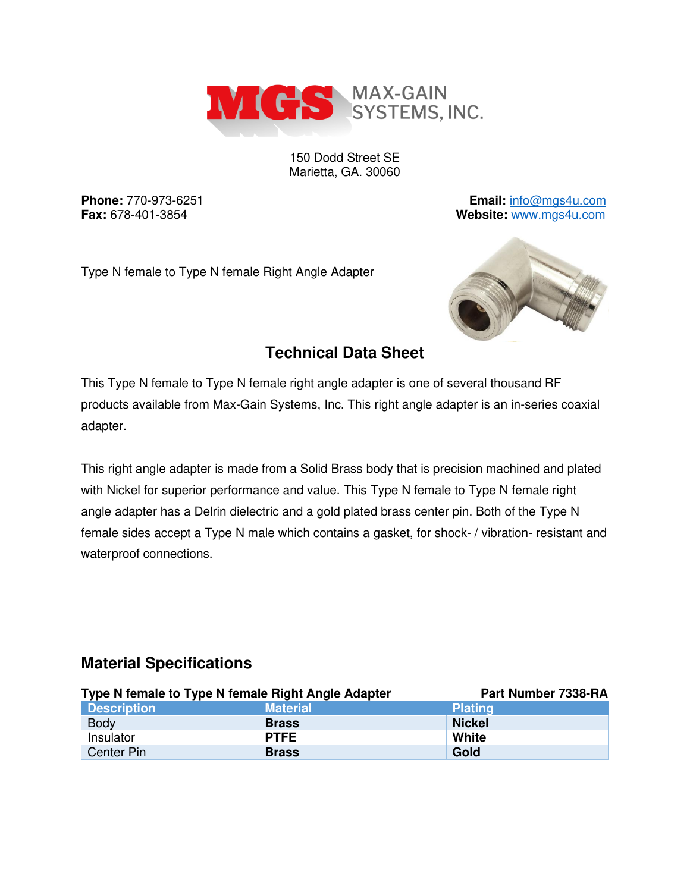

150 Dodd Street SE Marietta, GA. 30060

**Phone:** 770-973-6251 **Email:** [info@mgs4u.com](mailto:info@mgs4u.com) **Fax:** 678-401-3854 **Website:** [www.mgs4u.com](http://www.mgs4u.com/)

Type N female to Type N female Right Angle Adapter



### **Technical Data Sheet**

This Type N female to Type N female right angle adapter is one of several thousand RF products available from Max-Gain Systems, Inc. This right angle adapter is an in-series coaxial adapter.

This right angle adapter is made from a Solid Brass body that is precision machined and plated with Nickel for superior performance and value. This Type N female to Type N female right angle adapter has a Delrin dielectric and a gold plated brass center pin. Both of the Type N female sides accept a Type N male which contains a gasket, for shock- / vibration- resistant and waterproof connections.

#### **Material Specifications**

| Type N female to Type N female Right Angle Adapter |                 | Part Number 7338-RA |
|----------------------------------------------------|-----------------|---------------------|
| <b>Description</b>                                 | <b>Material</b> | <b>Plating</b>      |
| <b>Body</b>                                        | <b>Brass</b>    | <b>Nickel</b>       |
| Insulator                                          | <b>PTFE</b>     | White               |
| Center Pin                                         | <b>Brass</b>    | Gold                |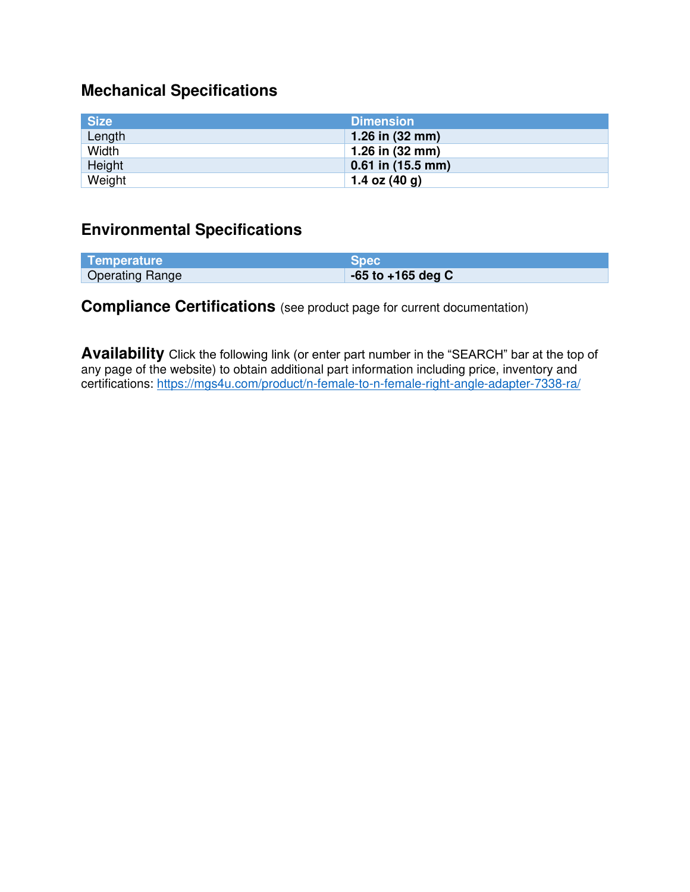# **Mechanical Specifications**

| <b>Size</b> | <b>Dimension</b>          |
|-------------|---------------------------|
| Length      | 1.26 in $(32 \text{ mm})$ |
| Width       | 1.26 in $(32 \text{ mm})$ |
| Height      | $0.61$ in $(15.5$ mm)     |
| Weight      | 1.4 oz $(40 g)$           |

### **Environmental Specifications**

| Temperature            | <b>Spec</b>           |
|------------------------|-----------------------|
| <b>Operating Range</b> | $-65$ to $+165$ deg C |

## **Compliance Certifications** (see product page for current documentation)

**Availability** Click the following link (or enter part number in the "SEARCH" bar at the top of any page of the website) to obtain additional part information including price, inventory and certifications:<https://mgs4u.com/product/n-female-to-n-female-right-angle-adapter-7338-ra/>